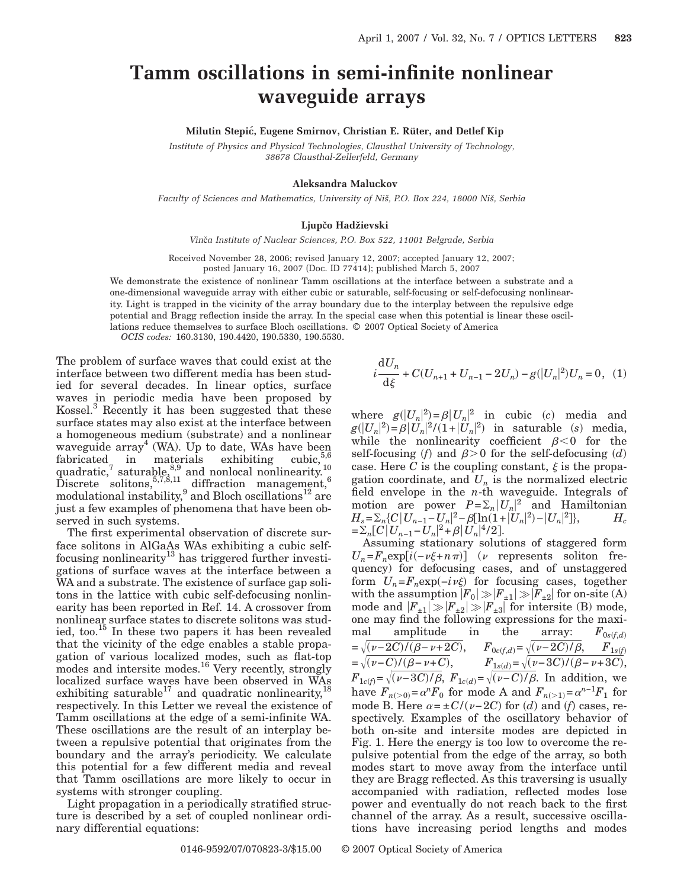## **Tamm oscillations in semi-infinite nonlinear waveguide arrays**

**Milutin Stepic´, Eugene Smirnov, Christian E. Rüter, and Detlef Kip**

*Institute of Physics and Physical Technologies, Clausthal University of Technology, 38678 Clausthal-Zellerfeld, Germany*

## **Aleksandra Maluckov**

*Faculty of Sciences and Mathematics, University of Niš, P.O. Box 224, 18000 Niš, Serbia*

## **Ljup~o Hadžievski**

*Vin*~*a Institute of Nuclear Sciences, P.O. Box 522, 11001 Belgrade, Serbia*

Received November 28, 2006; revised January 12, 2007; accepted January 12, 2007; posted January 16, 2007 (Doc. ID 77414); published March 5, 2007

We demonstrate the existence of nonlinear Tamm oscillations at the interface between a substrate and a one-dimensional waveguide array with either cubic or saturable, self-focusing or self-defocusing nonlinearity. Light is trapped in the vicinity of the array boundary due to the interplay between the repulsive edge potential and Bragg reflection inside the array. In the special case when this potential is linear these oscillations reduce themselves to surface Bloch oscillations. © 2007 Optical Society of America *OCIS codes:* 160.3130, 190.4420, 190.5330, 190.5530.

The problem of surface waves that could exist at the interface between two different media has been studied for several decades. In linear optics, surface waves in periodic media have been proposed by Kossel.<sup>3</sup> Recently it has been suggested that these surface states may also exist at the interface between a homogeneous medium (substrate) and a nonlinear waveguide array<sup>4</sup> (WA). Up to date, WAs have been fabricated in materials exhibiting cubic,  $5.6$ quadratic,<sup>7</sup> saturable,<sup>8,9</sup> and nonlocal nonlinearity.<sup>10</sup>  $\text{Discrete}$  solitons,  $^{5,7,8,11}$  diffraction management,  $^{6}$ modulational instability, and Bloch oscillations<sup>12</sup> are just a few examples of phenomena that have been observed in such systems.

The first experimental observation of discrete surface solitons in AlGaAs WAs exhibiting a cubic selffocusing nonlinearity<sup>13</sup> has triggered further investigations of surface waves at the interface between a WA and a substrate. The existence of surface gap solitons in the lattice with cubic self-defocusing nonlinearity has been reported in Ref. 14. A crossover from nonlinear surface states to discrete solitons was studied, too.15 In these two papers it has been revealed that the vicinity of the edge enables a stable propagation of various localized modes, such as flat-top modes and intersite modes.<sup>16</sup> Very recently, strongly localized surface wayes have been observed in WAs exhibiting saturable<sup>17</sup> and quadratic nonlinearity,<sup>18</sup> respectively. In this Letter we reveal the existence of Tamm oscillations at the edge of a semi-infinite WA. These oscillations are the result of an interplay between a repulsive potential that originates from the boundary and the array's periodicity. We calculate this potential for a few different media and reveal that Tamm oscillations are more likely to occur in systems with stronger coupling.

Light propagation in a periodically stratified structure is described by a set of coupled nonlinear ordinary differential equations:

$$
i\frac{\mathrm{d}U_n}{\mathrm{d}\xi} + C(U_{n+1} + U_{n-1} - 2U_n) - g(|U_n|^2)U_n = 0, \quad (1)
$$

where  $g(|U_n|^2) = \beta |U_n|^2$  in cubic *(c)* media and  $g(|U_n|^2) = \beta |U_n|^2 / (1 + |U_n|^2)$  in saturable *(s)* media, while the nonlinearity coefficient  $\beta < 0$  for the self-focusing (f) and  $\beta > 0$  for the self-defocusing (d) case. Here *C* is the coupling constant,  $\xi$  is the propagation coordinate, and  $U_n$  is the normalized electric field envelope in the *n*-th waveguide. Integrals of motion are power  $P = \sum_n |U_n|^2$  and Hamiltonian  $H_s = \sum_n \{C | U_{n-1} - U_n |^2 - \beta [\ln(1+|U_n|^2) - |U_n|^2] \},$  *H<sub>c</sub>*  $=\sum_{n} [C | U_{n-1} - U_n |^2 + \beta | U_n |^4 / 2].$ 

Assuming stationary solutions of staggered form  $U_n = F_n \exp[i(-\nu\xi + n\pi)]$  (*v* represents soliton frequency) for defocusing cases, and of unstaggered form  $U_n = F_n \exp(-i\nu\xi)$  for focusing cases, together with the assumption  $|F_0| \gg |F_{\pm 1}| \gg |F_{\pm 2}|$  for on-site (A) mode and  $|F_{\pm 1}| \gg |F_{\pm 2}| \gg |F_{\pm 3}|$  for intersite (B) mode, one may find the following expressions for the maximal amplitude in the array:  $F_{0s(f,d)} = \sqrt{(v-2C)/(\beta-v+2C)}$ ,  $F_{0c(f,d)} = \sqrt{(v-2C)/\beta}$ ,  $F_{1s(f)} = \sqrt{(v-C)/(\beta-v+C)}$ ,  $F_{1s(d)} = \sqrt{(v-3C)/(\beta-v+3C)}$ ,  $F_{1c(f)} = \sqrt{(v-3C)/\beta}, F_{1c(d)} = \sqrt{(v-C)/\beta}.$  In addition, we have  $F_{n(>0)} = \alpha^n F_0$  for mode A and  $F_{n(>1)} = \alpha^{n-1} F_1$  for mode B. Here  $\alpha = \pm C / (\nu - 2C)$  for *(d)* and *(f)* cases, respectively. Examples of the oscillatory behavior of both on-site and intersite modes are depicted in Fig. 1. Here the energy is too low to overcome the repulsive potential from the edge of the array, so both modes start to move away from the interface until they are Bragg reflected. As this traversing is usually accompanied with radiation, reflected modes lose power and eventually do not reach back to the first channel of the array. As a result, successive oscillations have increasing period lengths and modes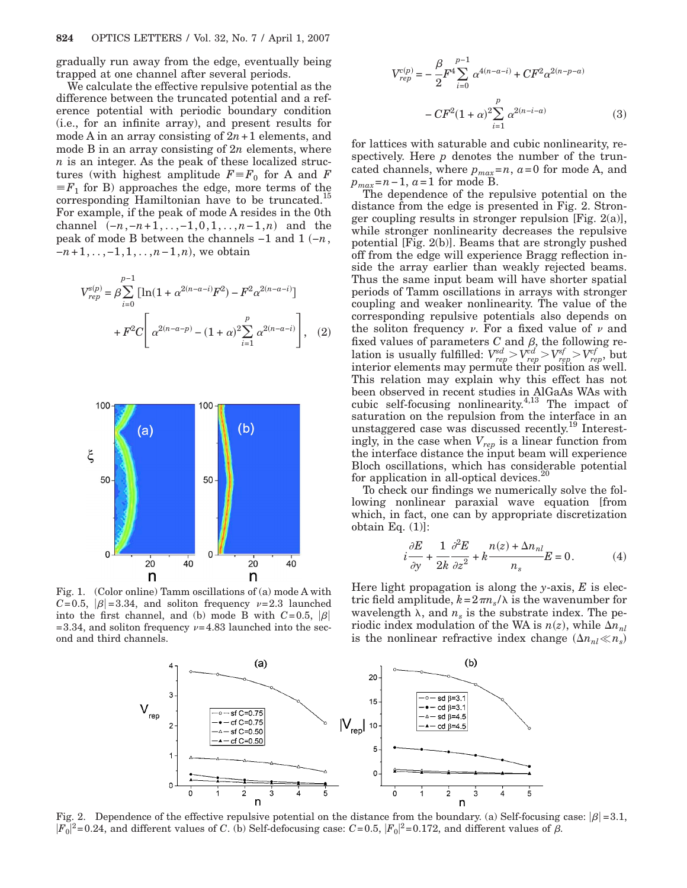gradually run away from the edge, eventually being trapped at one channel after several periods.

We calculate the effective repulsive potential as the difference between the truncated potential and a reference potential with periodic boundary condition (i.e., for an infinite array), and present results for mode A in an array consisting of  $2n+1$  elements, and mode B in an array consisting of 2*n* elements, where *n* is an integer. As the peak of these localized structures (with highest amplitude  $F \equiv F_0$  for A and *F*  $\equiv F_1$  for B) approaches the edge, more terms of the corresponding Hamiltonian have to be truncated.<sup>15</sup> For example, if the peak of mode A resides in the 0th channel  $(-n, -n+1, \ldots, -1, 0, 1, \ldots, n-1, n)$  and the peak of mode B between the channels −1 and 1  $(-n)$ , *−n* + 1, ...,−1, 1, ..., *n* − 1, *n*), we obtain

$$
V_{rep}^{s(p)} = \beta \sum_{i=0}^{p-1} \left[ \ln(1 + \alpha^{2(n-a-i)} F^2) - F^2 \alpha^{2(n-a-i)} \right] + F^2 C \left[ \alpha^{2(n-a-p)} - (1 + \alpha)^2 \sum_{i=1}^p \alpha^{2(n-a-i)} \right], \quad (2)
$$



Fig. 1. (Color online) Tamm oscillations of (a) mode A with  $C=0.5$ ,  $|\beta|=3.34$ , and soliton frequency  $\nu=2.3$  launched into the first channel, and (b) mode B with  $C=0.5$ ,  $|\beta|$ =3.34, and soliton frequency  $\nu$ =4.83 launched into the second and third channels.

$$
V_{rep}^{c(p)} = -\frac{\beta}{2} F^4 \sum_{i=0}^{p-1} \alpha^{4(n-a-i)} + C F^2 \alpha^{2(n-p-a)}
$$

$$
- C F^2 (1+\alpha)^2 \sum_{i=1}^p \alpha^{2(n-i-a)} \tag{3}
$$

for lattices with saturable and cubic nonlinearity, respectively. Here *p* denotes the number of the truncated channels, where  $p_{max}=n$ ,  $a=0$  for mode A, and *pmax*=*n*−1, *a*=1 for mode B.

The dependence of the repulsive potential on the distance from the edge is presented in Fig. 2. Stronger coupling results in stronger repulsion [Fig.  $2(a)$ ], while stronger nonlinearity decreases the repulsive potential [Fig. 2(b)]. Beams that are strongly pushed off from the edge will experience Bragg reflection inside the array earlier than weakly rejected beams. Thus the same input beam will have shorter spatial periods of Tamm oscillations in arrays with stronger coupling and weaker nonlinearity. The value of the corresponding repulsive potentials also depends on the soliton frequency  $\nu$ . For a fixed value of  $\nu$  and fixed values of parameters  $C$  and  $\beta$ , the following relation is usually fulfilled:  $V_{rep}^{sd} > V_{rep}^{cd} > V_{rep}^{sf} > V_{rep}^{cf}$ , but interior elements may permute their position as well. This relation may explain why this effect has not been observed in recent studies in AlGaAs WAs with cubic self-focusing nonlinearity.<sup>4,13</sup> The impact of saturation on the repulsion from the interface in an unstaggered case was discussed recently.19 Interestingly, in the case when *Vrep* is a linear function from the interface distance the input beam will experience Bloch oscillations, which has considerable potential for application in all-optical devices. $20$ 

To check our findings we numerically solve the following nonlinear paraxial wave equation [from which, in fact, one can by appropriate discretization obtain Eq.  $(1)$ :

$$
i\frac{\partial E}{\partial y} + \frac{1}{2k}\frac{\partial^2 E}{\partial z^2} + k\frac{n(z) + \Delta n_{nl}}{n_s}E = 0.
$$
 (4)

Here light propagation is along the *y*-axis, *E* is electric field amplitude,  $k = 2\pi n_s/\lambda$  is the wavenumber for wavelength  $\lambda$ , and  $n_s$  is the substrate index. The periodic index modulation of the WA is  $n(z)$ , while  $\Delta n_{nl}$ is the nonlinear refractive index change  $(\Delta n_{nl} \ll n_s)$ 



Fig. 2. Dependence of the effective repulsive potential on the distance from the boundary. (a) Self-focusing case:  $|\beta|=3.1$ ,  $|F_0|^2$ =0.24, and different values of *C*. (b) Self-defocusing case: *C*=0.5,  $|F_0|^2$ =0.172, and different values of  $\beta$ .